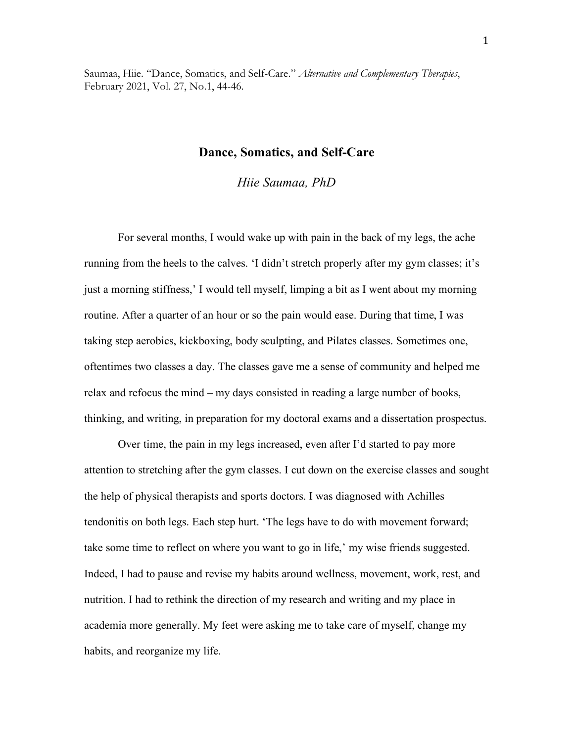Saumaa, Hiie. "Dance, Somatics, and Self-Care." *Alternative and Complementary Therapies*, February 2021, Vol. 27, No.1, 44-46.

# **Dance, Somatics, and Self-Care**

*Hiie Saumaa, PhD*

For several months, I would wake up with pain in the back of my legs, the ache running from the heels to the calves. 'I didn't stretch properly after my gym classes; it's just a morning stiffness,' I would tell myself, limping a bit as I went about my morning routine. After a quarter of an hour or so the pain would ease. During that time, I was taking step aerobics, kickboxing, body sculpting, and Pilates classes. Sometimes one, oftentimes two classes a day. The classes gave me a sense of community and helped me relax and refocus the mind – my days consisted in reading a large number of books, thinking, and writing, in preparation for my doctoral exams and a dissertation prospectus.

Over time, the pain in my legs increased, even after I'd started to pay more attention to stretching after the gym classes. I cut down on the exercise classes and sought the help of physical therapists and sports doctors. I was diagnosed with Achilles tendonitis on both legs. Each step hurt. 'The legs have to do with movement forward; take some time to reflect on where you want to go in life,' my wise friends suggested. Indeed, I had to pause and revise my habits around wellness, movement, work, rest, and nutrition. I had to rethink the direction of my research and writing and my place in academia more generally. My feet were asking me to take care of myself, change my habits, and reorganize my life.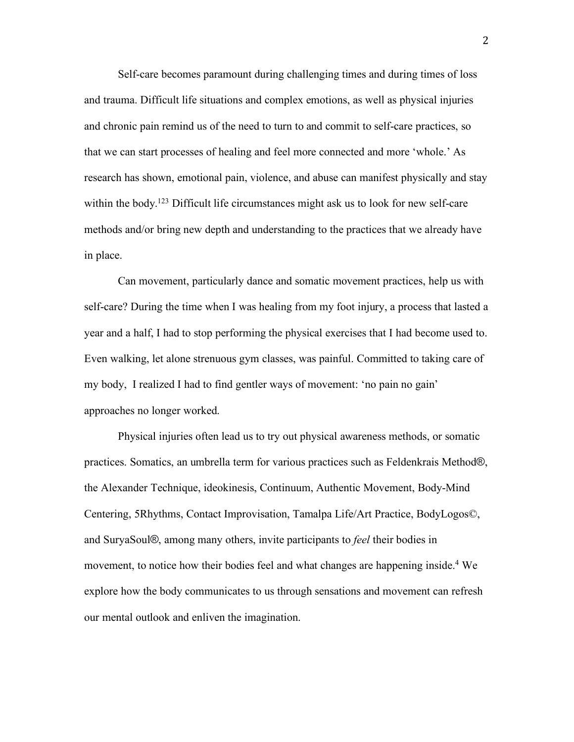Self-care becomes paramount during challenging times and during times of loss and trauma. Difficult life situations and complex emotions, as well as physical injuries and chronic pain remind us of the need to turn to and commit to self-care practices, so that we can start processes of healing and feel more connected and more 'whole.' As research has shown, emotional pain, violence, and abuse can manifest physically and stay within the body.<sup>123</sup> Difficult life circumstances might ask us to look for new self-care methods and/or bring new depth and understanding to the practices that we already have in place.

Can movement, particularly dance and somatic movement practices, help us with self-care? During the time when I was healing from my foot injury, a process that lasted a year and a half, I had to stop performing the physical exercises that I had become used to. Even walking, let alone strenuous gym classes, was painful. Committed to taking care of my body, I realized I had to find gentler ways of movement: 'no pain no gain' approaches no longer worked.

Physical injuries often lead us to try out physical awareness methods, or somatic practices. Somatics, an umbrella term for various practices such as Feldenkrais Method®, the Alexander Technique, ideokinesis, Continuum, Authentic Movement, Body-Mind Centering, 5Rhythms, Contact Improvisation, Tamalpa Life/Art Practice, BodyLogos©, and SuryaSoul®, among many others, invite participants to *feel* their bodies in movement, to notice how their bodies feel and what changes are happening inside.<sup>4</sup> We explore how the body communicates to us through sensations and movement can refresh our mental outlook and enliven the imagination.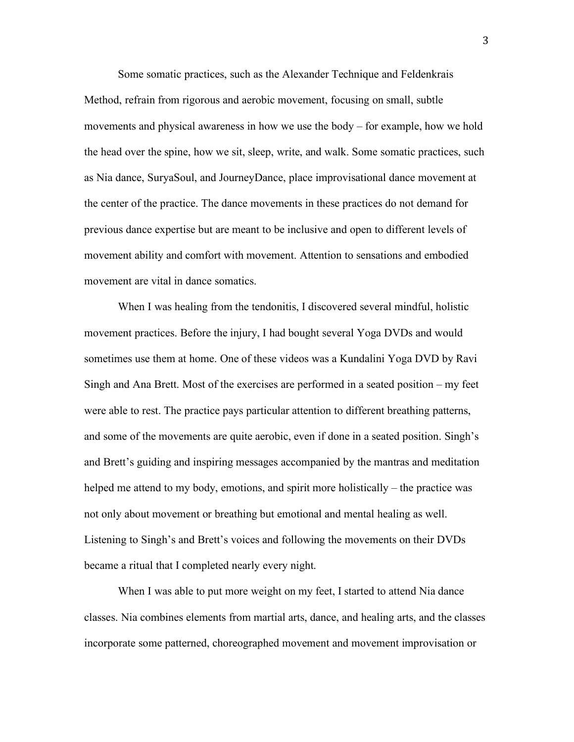Some somatic practices, such as the Alexander Technique and Feldenkrais Method, refrain from rigorous and aerobic movement, focusing on small, subtle movements and physical awareness in how we use the body – for example, how we hold the head over the spine, how we sit, sleep, write, and walk. Some somatic practices, such as Nia dance, SuryaSoul, and JourneyDance, place improvisational dance movement at the center of the practice. The dance movements in these practices do not demand for previous dance expertise but are meant to be inclusive and open to different levels of movement ability and comfort with movement. Attention to sensations and embodied movement are vital in dance somatics.

When I was healing from the tendonitis, I discovered several mindful, holistic movement practices. Before the injury, I had bought several Yoga DVDs and would sometimes use them at home. One of these videos was a Kundalini Yoga DVD by Ravi Singh and Ana Brett. Most of the exercises are performed in a seated position – my feet were able to rest. The practice pays particular attention to different breathing patterns, and some of the movements are quite aerobic, even if done in a seated position. Singh's and Brett's guiding and inspiring messages accompanied by the mantras and meditation helped me attend to my body, emotions, and spirit more holistically – the practice was not only about movement or breathing but emotional and mental healing as well. Listening to Singh's and Brett's voices and following the movements on their DVDs became a ritual that I completed nearly every night.

When I was able to put more weight on my feet, I started to attend Nia dance classes. Nia combines elements from martial arts, dance, and healing arts, and the classes incorporate some patterned, choreographed movement and movement improvisation or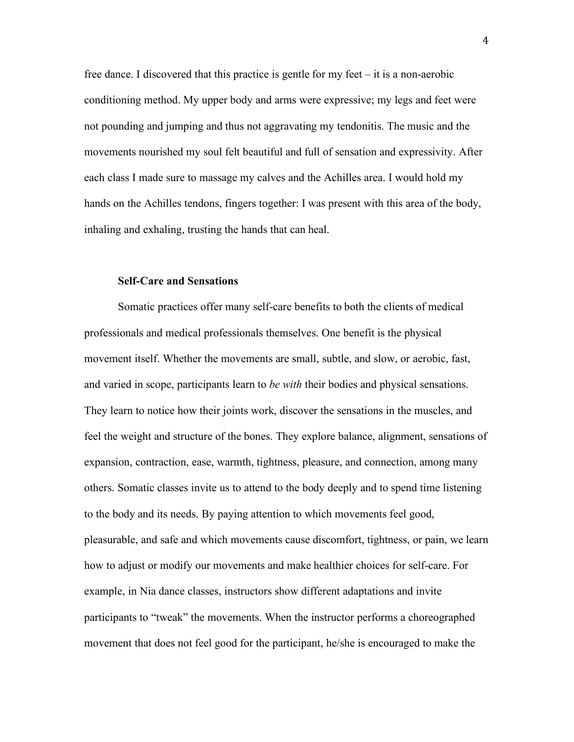free dance. I discovered that this practice is gentle for my feet – it is a non-aerobic conditioning method. My upper body and arms were expressive; my legs and feet were not pounding and jumping and thus not aggravating my tendonitis. The music and the movements nourished my soul felt beautiful and full of sensation and expressivity. After each class I made sure to massage my calves and the Achilles area. I would hold my hands on the Achilles tendons, fingers together: I was present with this area of the body, inhaling and exhaling, trusting the hands that can heal.

## **Self-Care and Sensations**

Somatic practices offer many self-care benefits to both the clients of medical professionals and medical professionals themselves. One benefit is the physical movement itself. Whether the movements are small, subtle, and slow, or aerobic, fast, and varied in scope, participants learn to *be with* their bodies and physical sensations. They learn to notice how their joints work, discover the sensations in the muscles, and feel the weight and structure of the bones. They explore balance, alignment, sensations of expansion, contraction, ease, warmth, tightness, pleasure, and connection, among many others. Somatic classes invite us to attend to the body deeply and to spend time listening to the body and its needs. By paying attention to which movements feel good, pleasurable, and safe and which movements cause discomfort, tightness, or pain, we learn how to adjust or modify our movements and make healthier choices for self-care. For example, in Nia dance classes, instructors show different adaptations and invite participants to "tweak" the movements. When the instructor performs a choreographed movement that does not feel good for the participant, he/she is encouraged to make the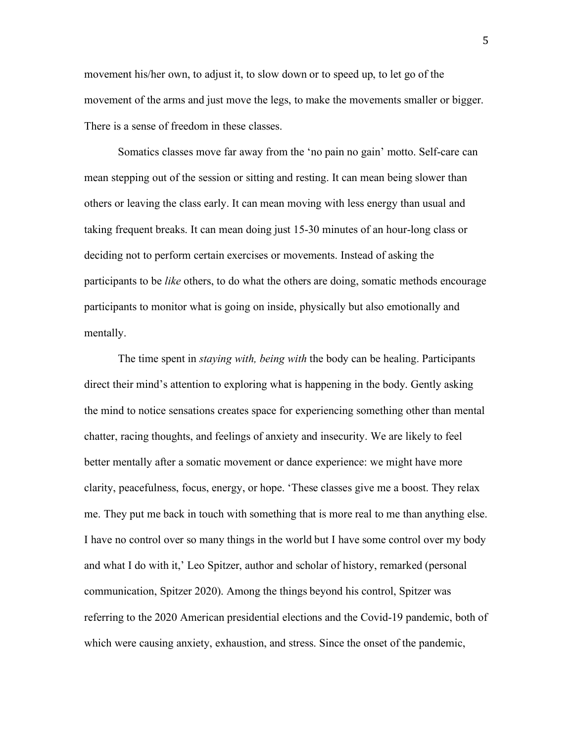movement his/her own, to adjust it, to slow down or to speed up, to let go of the movement of the arms and just move the legs, to make the movements smaller or bigger. There is a sense of freedom in these classes.

Somatics classes move far away from the 'no pain no gain' motto. Self-care can mean stepping out of the session or sitting and resting. It can mean being slower than others or leaving the class early. It can mean moving with less energy than usual and taking frequent breaks. It can mean doing just 15-30 minutes of an hour-long class or deciding not to perform certain exercises or movements. Instead of asking the participants to be *like* others, to do what the others are doing, somatic methods encourage participants to monitor what is going on inside, physically but also emotionally and mentally.

The time spent in *staying with, being with* the body can be healing. Participants direct their mind's attention to exploring what is happening in the body. Gently asking the mind to notice sensations creates space for experiencing something other than mental chatter, racing thoughts, and feelings of anxiety and insecurity. We are likely to feel better mentally after a somatic movement or dance experience: we might have more clarity, peacefulness, focus, energy, or hope. 'These classes give me a boost. They relax me. They put me back in touch with something that is more real to me than anything else. I have no control over so many things in the world but I have some control over my body and what I do with it,' Leo Spitzer, author and scholar of history, remarked (personal communication, Spitzer 2020). Among the things beyond his control, Spitzer was referring to the 2020 American presidential elections and the Covid-19 pandemic, both of which were causing anxiety, exhaustion, and stress. Since the onset of the pandemic,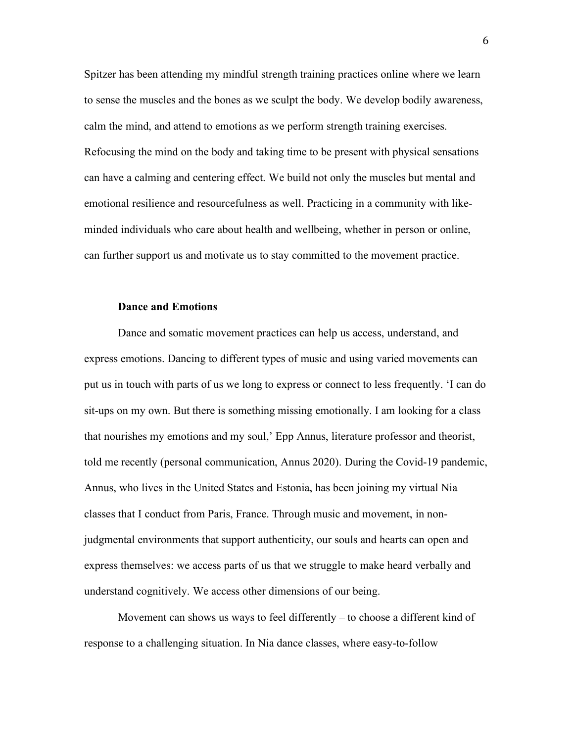Spitzer has been attending my mindful strength training practices online where we learn to sense the muscles and the bones as we sculpt the body. We develop bodily awareness, calm the mind, and attend to emotions as we perform strength training exercises. Refocusing the mind on the body and taking time to be present with physical sensations can have a calming and centering effect. We build not only the muscles but mental and emotional resilience and resourcefulness as well. Practicing in a community with likeminded individuals who care about health and wellbeing, whether in person or online, can further support us and motivate us to stay committed to the movement practice.

## **Dance and Emotions**

Dance and somatic movement practices can help us access, understand, and express emotions. Dancing to different types of music and using varied movements can put us in touch with parts of us we long to express or connect to less frequently. 'I can do sit-ups on my own. But there is something missing emotionally. I am looking for a class that nourishes my emotions and my soul,' Epp Annus, literature professor and theorist, told me recently (personal communication, Annus 2020). During the Covid-19 pandemic, Annus, who lives in the United States and Estonia, has been joining my virtual Nia classes that I conduct from Paris, France. Through music and movement, in nonjudgmental environments that support authenticity, our souls and hearts can open and express themselves: we access parts of us that we struggle to make heard verbally and understand cognitively. We access other dimensions of our being.

Movement can shows us ways to feel differently – to choose a different kind of response to a challenging situation. In Nia dance classes, where easy-to-follow

6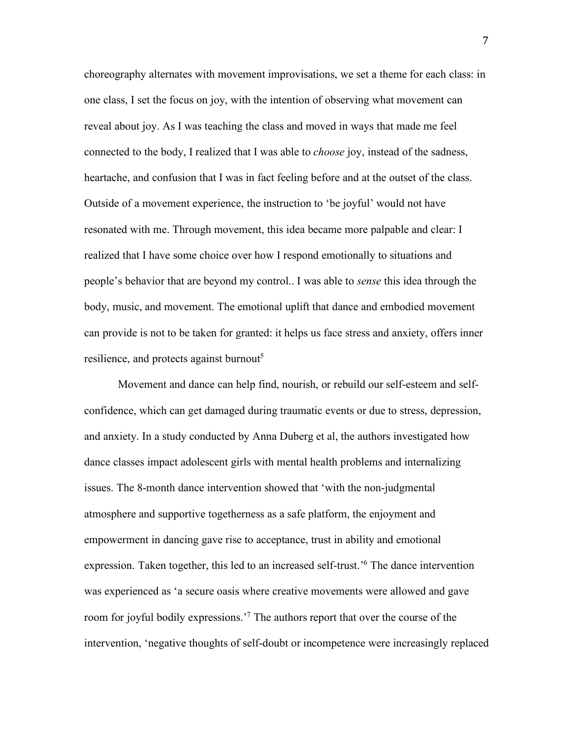choreography alternates with movement improvisations, we set a theme for each class: in one class, I set the focus on joy, with the intention of observing what movement can reveal about joy. As I was teaching the class and moved in ways that made me feel connected to the body, I realized that I was able to *choose* joy, instead of the sadness, heartache, and confusion that I was in fact feeling before and at the outset of the class. Outside of a movement experience, the instruction to 'be joyful' would not have resonated with me. Through movement, this idea became more palpable and clear: I realized that I have some choice over how I respond emotionally to situations and people's behavior that are beyond my control.. I was able to *sense* this idea through the body, music, and movement. The emotional uplift that dance and embodied movement can provide is not to be taken for granted: it helps us face stress and anxiety, offers inner resilience, and protects against burnout<sup>5</sup>

Movement and dance can help find, nourish, or rebuild our self-esteem and selfconfidence, which can get damaged during traumatic events or due to stress, depression, and anxiety. In a study conducted by Anna Duberg et al, the authors investigated how dance classes impact adolescent girls with mental health problems and internalizing issues. The 8-month dance intervention showed that 'with the non-judgmental atmosphere and supportive togetherness as a safe platform, the enjoyment and empowerment in dancing gave rise to acceptance, trust in ability and emotional expression. Taken together, this led to an increased self-trust.<sup>'6</sup> The dance intervention was experienced as 'a secure oasis where creative movements were allowed and gave room for joyful bodily expressions.'7 The authors report that over the course of the intervention, 'negative thoughts of self-doubt or incompetence were increasingly replaced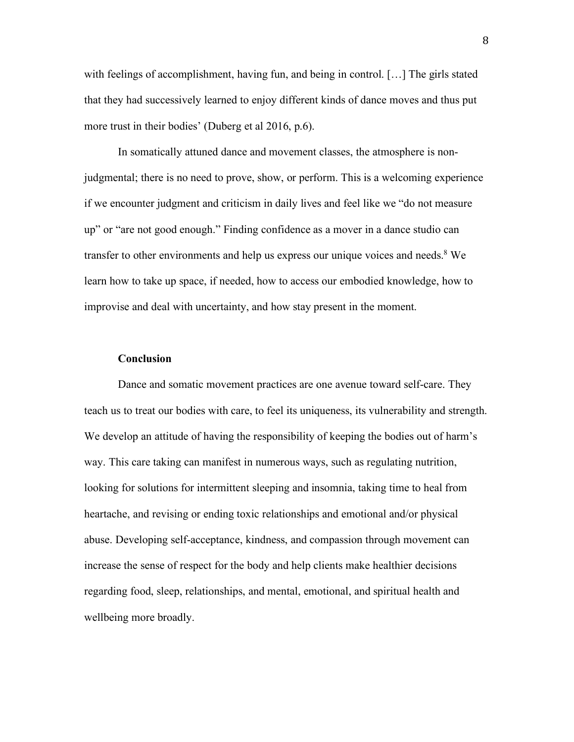with feelings of accomplishment, having fun, and being in control. […] The girls stated that they had successively learned to enjoy different kinds of dance moves and thus put more trust in their bodies' (Duberg et al 2016, p.6).

In somatically attuned dance and movement classes, the atmosphere is nonjudgmental; there is no need to prove, show, or perform. This is a welcoming experience if we encounter judgment and criticism in daily lives and feel like we "do not measure up" or "are not good enough." Finding confidence as a mover in a dance studio can transfer to other environments and help us express our unique voices and needs. <sup>8</sup> We learn how to take up space, if needed, how to access our embodied knowledge, how to improvise and deal with uncertainty, and how stay present in the moment.

#### **Conclusion**

Dance and somatic movement practices are one avenue toward self-care. They teach us to treat our bodies with care, to feel its uniqueness, its vulnerability and strength. We develop an attitude of having the responsibility of keeping the bodies out of harm's way. This care taking can manifest in numerous ways, such as regulating nutrition, looking for solutions for intermittent sleeping and insomnia, taking time to heal from heartache, and revising or ending toxic relationships and emotional and/or physical abuse. Developing self-acceptance, kindness, and compassion through movement can increase the sense of respect for the body and help clients make healthier decisions regarding food, sleep, relationships, and mental, emotional, and spiritual health and wellbeing more broadly.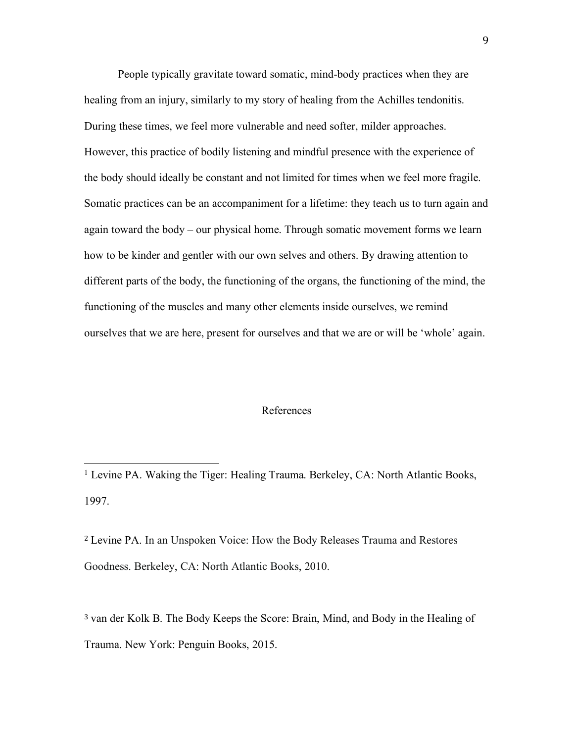People typically gravitate toward somatic, mind-body practices when they are healing from an injury, similarly to my story of healing from the Achilles tendonitis. During these times, we feel more vulnerable and need softer, milder approaches. However, this practice of bodily listening and mindful presence with the experience of the body should ideally be constant and not limited for times when we feel more fragile. Somatic practices can be an accompaniment for a lifetime: they teach us to turn again and again toward the body – our physical home. Through somatic movement forms we learn how to be kinder and gentler with our own selves and others. By drawing attention to different parts of the body, the functioning of the organs, the functioning of the mind, the functioning of the muscles and many other elements inside ourselves, we remind ourselves that we are here, present for ourselves and that we are or will be 'whole' again.

### References

 

<sup>2</sup> Levine PA. In an Unspoken Voice: How the Body Releases Trauma and Restores Goodness. Berkeley, CA: North Atlantic Books, 2010.

<sup>3</sup> van der Kolk B. The Body Keeps the Score: Brain, Mind, and Body in the Healing of Trauma. New York: Penguin Books, 2015.

<sup>&</sup>lt;sup>1</sup> Levine PA. Waking the Tiger: Healing Trauma. Berkeley, CA: North Atlantic Books, 1997.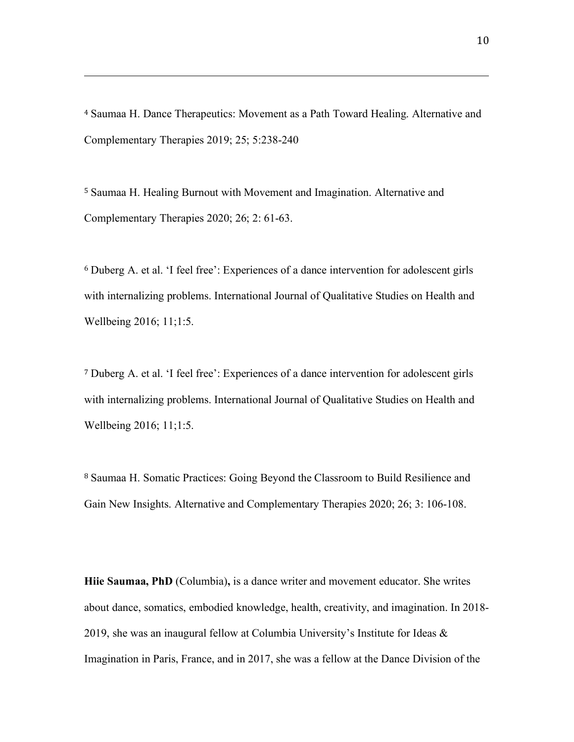<sup>4</sup> Saumaa H. Dance Therapeutics: Movement as a Path Toward Healing. Alternative and Complementary Therapies 2019; 25; 5:238-240

<u> 2002 - Andrea San Andrea San Andrea San Andrea San Andrea San Andrea San Andrea San Andrea San Andrea San An</u>

<sup>5</sup> Saumaa H. Healing Burnout with Movement and Imagination. Alternative and Complementary Therapies 2020; 26; 2: 61-63.

<sup>6</sup> Duberg A. et al. 'I feel free': Experiences of a dance intervention for adolescent girls with internalizing problems. International Journal of Qualitative Studies on Health and Wellbeing 2016; 11;1:5.

<sup>7</sup> Duberg A. et al. 'I feel free': Experiences of a dance intervention for adolescent girls with internalizing problems. International Journal of Qualitative Studies on Health and Wellbeing 2016; 11;1:5.

<sup>8</sup> Saumaa H. Somatic Practices: Going Beyond the Classroom to Build Resilience and Gain New Insights. Alternative and Complementary Therapies 2020; 26; 3: 106-108.

**Hiie Saumaa, PhD** (Columbia)**,** is a dance writer and movement educator. She writes about dance, somatics, embodied knowledge, health, creativity, and imagination. In 2018- 2019, she was an inaugural fellow at Columbia University's Institute for Ideas & Imagination in Paris, France, and in 2017, she was a fellow at the Dance Division of the